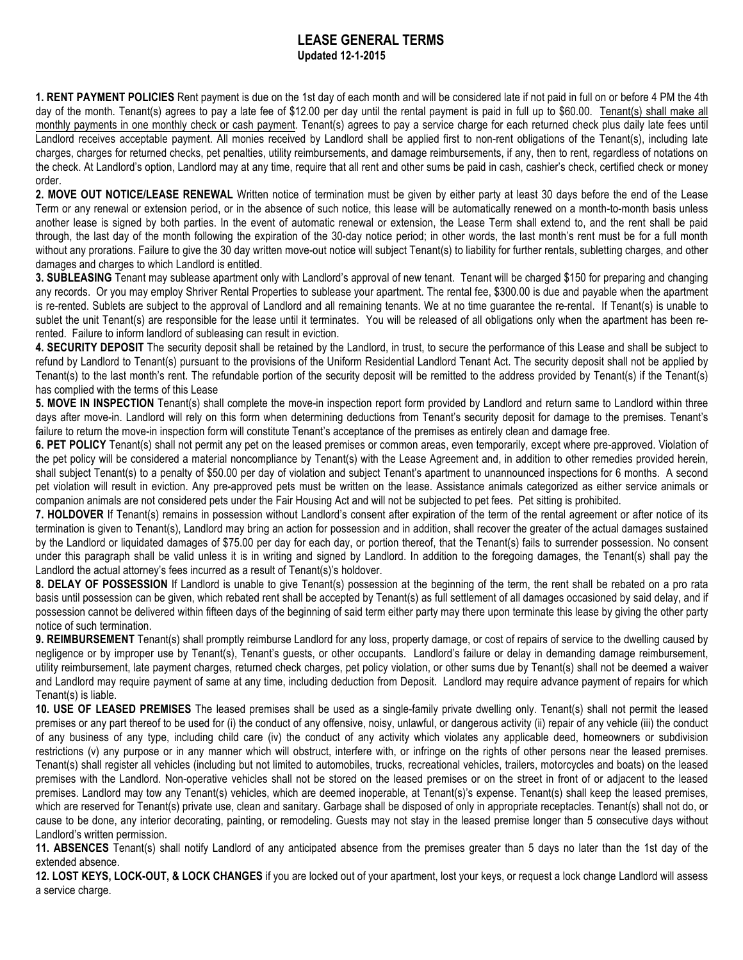## **LEASE GENERAL TERMS Updated 12-1-2015**

**1. RENT PAYMENT POLICIES** Rent payment is due on the 1st day of each month and will be considered late if not paid in full on or before 4 PM the 4th day of the month. Tenant(s) agrees to pay a late fee of \$12.00 per day until the rental payment is paid in full up to \$60.00. Tenant(s) shall make all monthly payments in one monthly check or cash payment. Tenant(s) agrees to pay a service charge for each returned check plus daily late fees until Landlord receives acceptable payment. All monies received by Landlord shall be applied first to non-rent obligations of the Tenant(s), including late charges, charges for returned checks, pet penalties, utility reimbursements, and damage reimbursements, if any, then to rent, regardless of notations on the check. At Landlord's option, Landlord may at any time, require that all rent and other sums be paid in cash, cashier's check, certified check or money order.

**2. MOVE OUT NOTICE/LEASE RENEWAL** Written notice of termination must be given by either party at least 30 days before the end of the Lease Term or any renewal or extension period, or in the absence of such notice, this lease will be automatically renewed on a month-to-month basis unless another lease is signed by both parties. In the event of automatic renewal or extension, the Lease Term shall extend to, and the rent shall be paid through, the last day of the month following the expiration of the 30-day notice period; in other words, the last month's rent must be for a full month without any prorations. Failure to give the 30 day written move-out notice will subject Tenant(s) to liability for further rentals, subletting charges, and other damages and charges to which Landlord is entitled.

**3. SUBLEASING** Tenant may sublease apartment only with Landlord's approval of new tenant. Tenant will be charged \$150 for preparing and changing any records. Or you may employ Shriver Rental Properties to sublease your apartment. The rental fee, \$300.00 is due and payable when the apartment is re-rented. Sublets are subject to the approval of Landlord and all remaining tenants. We at no time guarantee the re-rental. If Tenant(s) is unable to sublet the unit Tenant(s) are responsible for the lease until it terminates. You will be released of all obligations only when the apartment has been rerented. Failure to inform landlord of subleasing can result in eviction.

**4. SECURITY DEPOSIT** The security deposit shall be retained by the Landlord, in trust, to secure the performance of this Lease and shall be subject to refund by Landlord to Tenant(s) pursuant to the provisions of the Uniform Residential Landlord Tenant Act. The security deposit shall not be applied by Tenant(s) to the last month's rent. The refundable portion of the security deposit will be remitted to the address provided by Tenant(s) if the Tenant(s) has complied with the terms of this Lease

**5. MOVE IN INSPECTION** Tenant(s) shall complete the move-in inspection report form provided by Landlord and return same to Landlord within three days after move-in. Landlord will rely on this form when determining deductions from Tenant's security deposit for damage to the premises. Tenant's failure to return the move-in inspection form will constitute Tenant's acceptance of the premises as entirely clean and damage free.

**6. PET POLICY** Tenant(s) shall not permit any pet on the leased premises or common areas, even temporarily, except where pre-approved. Violation of the pet policy will be considered a material noncompliance by Tenant(s) with the Lease Agreement and, in addition to other remedies provided herein, shall subject Tenant(s) to a penalty of \$50.00 per day of violation and subject Tenant's apartment to unannounced inspections for 6 months. A second pet violation will result in eviction. Any pre-approved pets must be written on the lease. Assistance animals categorized as either service animals or companion animals are not considered pets under the Fair Housing Act and will not be subjected to pet fees. Pet sitting is prohibited.

**7. HOLDOVER** If Tenant(s) remains in possession without Landlord's consent after expiration of the term of the rental agreement or after notice of its termination is given to Tenant(s), Landlord may bring an action for possession and in addition, shall recover the greater of the actual damages sustained by the Landlord or liquidated damages of \$75.00 per day for each day, or portion thereof, that the Tenant(s) fails to surrender possession. No consent under this paragraph shall be valid unless it is in writing and signed by Landlord. In addition to the foregoing damages, the Tenant(s) shall pay the Landlord the actual attorney's fees incurred as a result of Tenant(s)'s holdover.

**8. DELAY OF POSSESSION** If Landlord is unable to give Tenant(s) possession at the beginning of the term, the rent shall be rebated on a pro rata basis until possession can be given, which rebated rent shall be accepted by Tenant(s) as full settlement of all damages occasioned by said delay, and if possession cannot be delivered within fifteen days of the beginning of said term either party may there upon terminate this lease by giving the other party notice of such termination.

**9. REIMBURSEMENT** Tenant(s) shall promptly reimburse Landlord for any loss, property damage, or cost of repairs of service to the dwelling caused by negligence or by improper use by Tenant(s), Tenant's guests, or other occupants. Landlord's failure or delay in demanding damage reimbursement, utility reimbursement, late payment charges, returned check charges, pet policy violation, or other sums due by Tenant(s) shall not be deemed a waiver and Landlord may require payment of same at any time, including deduction from Deposit. Landlord may require advance payment of repairs for which Tenant(s) is liable.

**10. USE OF LEASED PREMISES** The leased premises shall be used as a single-family private dwelling only. Tenant(s) shall not permit the leased premises or any part thereof to be used for (i) the conduct of any offensive, noisy, unlawful, or dangerous activity (ii) repair of any vehicle (iii) the conduct of any business of any type, including child care (iv) the conduct of any activity which violates any applicable deed, homeowners or subdivision restrictions (v) any purpose or in any manner which will obstruct, interfere with, or infringe on the rights of other persons near the leased premises. Tenant(s) shall register all vehicles (including but not limited to automobiles, trucks, recreational vehicles, trailers, motorcycles and boats) on the leased premises with the Landlord. Non-operative vehicles shall not be stored on the leased premises or on the street in front of or adjacent to the leased premises. Landlord may tow any Tenant(s) vehicles, which are deemed inoperable, at Tenant(s)'s expense. Tenant(s) shall keep the leased premises, which are reserved for Tenant(s) private use, clean and sanitary. Garbage shall be disposed of only in appropriate receptacles. Tenant(s) shall not do, or cause to be done, any interior decorating, painting, or remodeling. Guests may not stay in the leased premise longer than 5 consecutive days without Landlord's written permission.

**11. ABSENCES** Tenant(s) shall notify Landlord of any anticipated absence from the premises greater than 5 days no later than the 1st day of the extended absence.

**12. LOST KEYS, LOCK-OUT, & LOCK CHANGES** if you are locked out of your apartment, lost your keys, or request a lock change Landlord will assess a service charge.